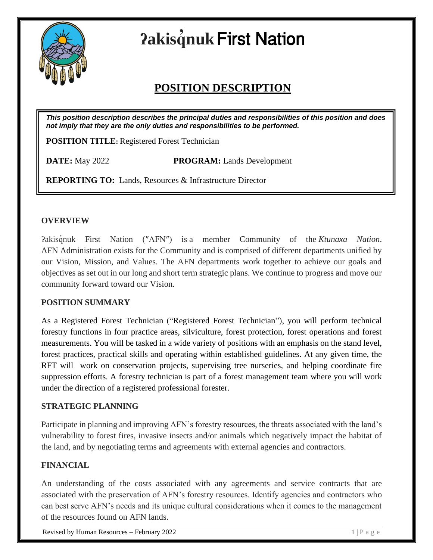

# **ʔakisq ̓nuk**First Nation

# **POSITION DESCRIPTION**

*This position description describes the principal duties and responsibilities of this position and does not imply that they are the only duties and responsibilities to be performed.*

**POSITION TITLE:** Registered Forest Technician

**DATE:** May 2022 **PROGRAM:** Lands Development

**REPORTING TO:**Lands, Resources & Infrastructure Director

#### **OVERVIEW**

ʔakisq̓nuk First Nation (″AFN″) is a member Community of the *Ktunaxa Nation*. AFN Administration exists for the Community and is comprised of different departments unified by our Vision, Mission, and Values. The AFN departments work together to achieve our goals and objectives as set out in our long and short term strategic plans. We continue to progress and move our community forward toward our Vision.

# **POSITION SUMMARY**

As a Registered Forest Technician ("Registered Forest Technician"), you will perform technical forestry functions in four practice areas, silviculture, forest protection, forest operations and forest measurements. You will be tasked in a wide variety of positions with an emphasis on the stand level, forest practices, practical skills and operating within established guidelines. At any given time, the RFT will work on conservation projects, supervising tree nurseries, and helping coordinate fire suppression efforts. A forestry technician is part of a forest management team where you will work under the direction of a registered professional forester.

#### **STRATEGIC PLANNING**

Participate in planning and improving AFN's forestry resources, the threats associated with the land's vulnerability to forest fires, invasive insects and/or animals which negatively impact the habitat of the land, and by negotiating terms and agreements with external agencies and contractors.

# **FINANCIAL**

An understanding of the costs associated with any agreements and service contracts that are associated with the preservation of AFN's forestry resources. Identify agencies and contractors who can best serve AFN's needs and its unique cultural considerations when it comes to the management of the resources found on AFN lands.

Revised by Human Resources – February 2022  $1 \mid P \text{ a } g \text{ e}$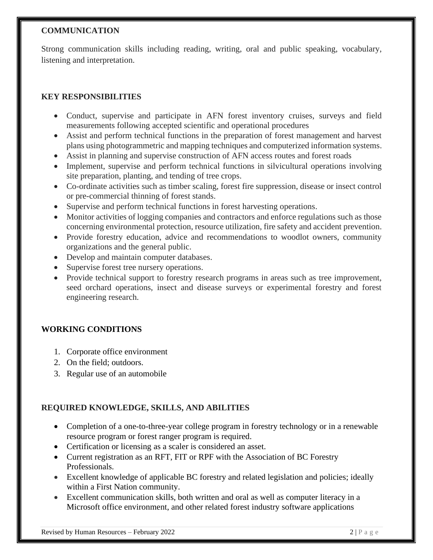#### **COMMUNICATION**

Strong communication skills including reading, writing, oral and public speaking, vocabulary, listening and interpretation.

# **KEY RESPONSIBILITIES**

- Conduct, supervise and participate in AFN forest inventory cruises, surveys and field measurements following accepted scientific and operational procedures
- Assist and perform technical functions in the preparation of forest management and harvest plans using photogrammetric and mapping techniques and computerized information systems.
- Assist in planning and supervise construction of AFN access routes and forest roads
- Implement, supervise and perform technical functions in silvicultural operations involving site preparation, planting, and tending of tree crops.
- Co-ordinate activities such as timber scaling, forest fire suppression, disease or insect control or pre-commercial thinning of forest stands.
- Supervise and perform technical functions in forest harvesting operations.
- Monitor activities of logging companies and contractors and enforce regulations such as those concerning environmental protection, resource utilization, fire safety and accident prevention.
- Provide forestry education, advice and recommendations to woodlot owners, community organizations and the general public.
- Develop and maintain computer databases.
- Supervise forest tree nursery operations.
- Provide technical support to forestry research programs in areas such as tree improvement, seed orchard operations, insect and disease surveys or experimental forestry and forest engineering research.

# **WORKING CONDITIONS**

- 1. Corporate office environment
- 2. On the field; outdoors.
- 3. Regular use of an automobile

# **REQUIRED KNOWLEDGE, SKILLS, AND ABILITIES**

- Completion of a one-to-three-year college program in forestry technology or in a renewable resource program or forest ranger program is required.
- Certification or licensing as a scaler is considered an asset.
- Current registration as an RFT, FIT or RPF with the Association of BC Forestry Professionals.
- Excellent knowledge of applicable BC forestry and related legislation and policies; ideally within a First Nation community.
- Excellent communication skills, both written and oral as well as computer literacy in a Microsoft office environment, and other related forest industry software applications